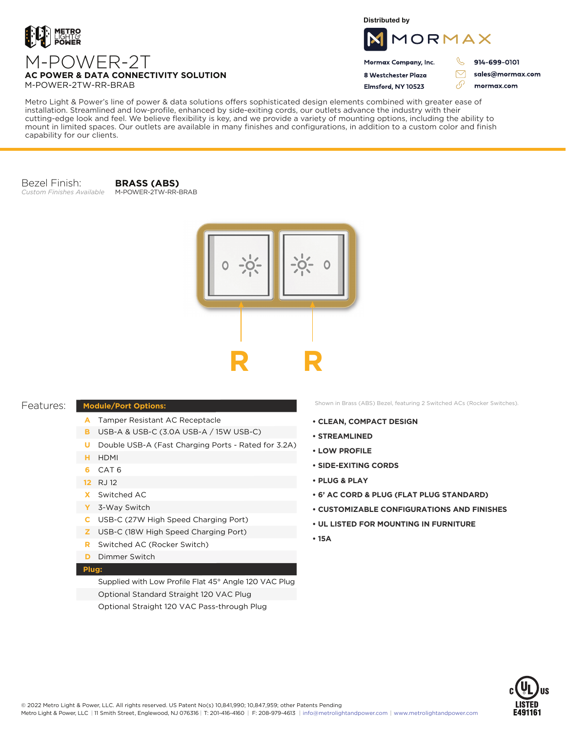

M-POWER-2T

**Distributed by**



Mormax Company, Inc. 8 Westchester Plaza

914-699-0101

sales@mormax.com

 $\triangledown$ 

M-POWER-2TW-RR-BRAB

**AC POWER & DATA CONNECTIVITY SOLUTION**

Flmsford, NY 10523 76 mormax.com

Metro Light & Power's line of power & data solutions offers sophisticated design elements combined with greater ease of installation. Streamlined and low-profile, enhanced by side-exiting cords, our outlets advance the industry with their cutting-edge look and feel. We believe flexibility is key, and we provide a variety of mounting options, including the ability to mount in limited spaces. Our outlets are available in many finishes and configurations, in addition to a custom color and finish capability for our clients.

Bezel Finish: *Custom Finishes Available*

**BRASS (ABS)** M-POWER-2TW-RR-BRAB



## Features:

## **Module/Port Options:**

- A Tamper Resistant AC Receptacle
- USB-A & USB-C (3.0A USB-A / 15W USB-C) **B**
- U Double USB-A (Fast Charging Ports Rated for 3.2A)
- HDMI **H**
- CAT 6 **6**
- 12 RJ 12
- Switched AC **X**
- 3-Way Switch **Y**
- USB-C (27W High Speed Charging Port) **C**
- USB-C (18W High Speed Charging Port) **Z**
- Switched AC (Rocker Switch) **R**
- **D** Dimmer Switch

## **Plug:**

Supplied with Low Profile Flat 45° Angle 120 VAC Plug Optional Standard Straight 120 VAC Plug Optional Straight 120 VAC Pass-through Plug

Shown in Brass (ABS) Bezel, featuring 2 Switched ACs (Rocker Switches).

- **CLEAN, COMPACT DESIGN**
- **STREAMLINED**
- **LOW PROFILE**
- **SIDE-EXITING CORDS**
- **PLUG & PLAY**
- **6' AC CORD & PLUG (FLAT PLUG STANDARD)**
- **CUSTOMIZABLE CONFIGURATIONS AND FINISHES**
- **UL LISTED FOR MOUNTING IN FURNITURE**
- **15A**